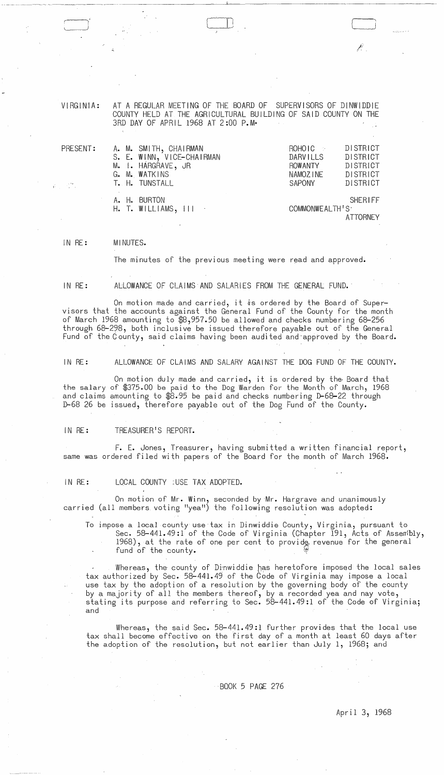VIRGINIA: AT A REGULAR MEETING OF THE BOARD OF SUPERVISORS OF DINWIDDIE COUNTY HELD AT THE AGRICULTURAL BUILDING OF SAID COUNTY ON THE 3RD DAY OF APRIL 1968 AT 2:00 P.M·

| PRESENT:                                                                                                                                                                                                                                                                                                                                                      | A. M. SMITH, CHAIRMAN                                                               | $ROHOIC \rightarrow$ | DISTRICT                          |
|---------------------------------------------------------------------------------------------------------------------------------------------------------------------------------------------------------------------------------------------------------------------------------------------------------------------------------------------------------------|-------------------------------------------------------------------------------------|----------------------|-----------------------------------|
|                                                                                                                                                                                                                                                                                                                                                               | S. E. WINN, VICE-CHAIRMAN                                                           | <b>DARVILLS</b>      | DISTRICT                          |
|                                                                                                                                                                                                                                                                                                                                                               | M. I. HARGRAVE, JR                                                                  | <b>ROWANTY</b>       | DISTRICT                          |
|                                                                                                                                                                                                                                                                                                                                                               | G. M. WATKINS                                                                       | NAMOZINE             | <b>DISTRICT</b>                   |
|                                                                                                                                                                                                                                                                                                                                                               | T. H. TUNSTALL                                                                      | <b>SAPONY</b>        | DISTRICT                          |
| $\label{eq:2} \frac{1}{2} \sum_{i=1}^n \frac{1}{2} \sum_{j=1}^n \frac{1}{2} \sum_{j=1}^n \frac{1}{2} \sum_{j=1}^n \frac{1}{2} \sum_{j=1}^n \frac{1}{2} \sum_{j=1}^n \frac{1}{2} \sum_{j=1}^n \frac{1}{2} \sum_{j=1}^n \frac{1}{2} \sum_{j=1}^n \frac{1}{2} \sum_{j=1}^n \frac{1}{2} \sum_{j=1}^n \frac{1}{2} \sum_{j=1}^n \frac{1}{2} \sum_{j=1}^n \frac{1}{$ | A. H. BURTON<br>$H.$ T. WILLIAMS, $\left\{ \begin{array}{ccc} \end{array} \right\}$ | COMMONWEALTH'S       | <b>SHERIFF</b><br><b>ATTORNEY</b> |

#### IN RE: MI NUTES.

The minutes of the previous meeting were read and approved.

IN RE:

ALLOWANCE OF CLAIMS AND SALARIES FROM THE GENERAL FUND.'

On motion made and carried, it is ordered by the Board of Supervisors that the accounts against the General Fund of the County for the month of March 1968 amounting to \$8,957.50 be allowed and checks numbering 68-256 through 68-298, both inclusive be issued therefore payable out of the General Fund of the County, said claims having been audited and approved by the Board.

IN RE: ALLOWANCE OF CLAIMS AND SALARY AGAINST THE DOG FUND OF THE COUNTY.

On motion duly made and carried, it is ordered by the Board that the salary of \$375.00 be paid to the Dog Warden for the Month of March, 1968 and claims amounting to \$8.95 be paid and checks numbering D-68-22 through D-68 26 be issued, therefore payable out of the Dog Fund of the County.

IN RE: TREASURER'S REPORT.

F. E. Jones, Treasurer, having submitted a written financial report, same was ordered filed with papers of the Board for the month of March 1968.

IN RE: LOCAL COUNTY ;USE TAX ADOPTED.

On motion of Mr. Winn, seconded by Mr. Hargrave and unanimously carried (all members voting "yea") the following resolution was adopted:

To impose a local county use tax in Dinwiddie County, Virginia, pursuant to Sec. 58-441.49:1 of the Code of Virginia (Chapter 191, Acts of Asserribly, 1968), at the rate of one per cent to provide revenue for the general fund of the county.

Whereas, the county of Dinwiddie has heretofore imposed the local sales tax authorized by Sec. 58-441.49 of the Code of Virginia may impose a local use tax by the adoption of a resolution by the governing body of the county by a majority of all the members thereof, by a recorded yea and nay vote, stating its purpose and referring to Sec. 58-441.49:1 of the Code of Virginia; and

Whereas, the said Sec. 58-441.49:1 further provides that the local use tax shall become effective on the first day of a month at least 60 days after the adoption of the resolution, but not earlier than July 1, 1968; and

. BOOK 5 PAGE 276

April 3,1968

/.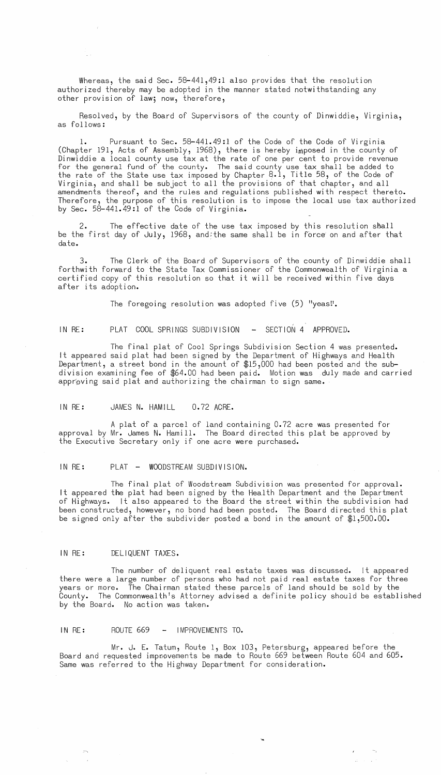Whereas, the said Sec. 58-441,49:1 also provides that the resolution authorized thereby may be adopted in the manner stated notwithstanding any other provision of law; now, therefore,

Resolved, by the Board of Supervisors of the county of Dinwiddie, Virginia, as follows:

Pursuant to Sec. 58-441.49:1 of the Code of the Code of Virginia (Chapter 191, Acts of Assembly, 1968), there is hereby imposed in the county of Dinwiddie a local county use tax at the rate of one per cent to provide revenue for the general fund of the county. The said county use tax shall be added to the rate of the State use tax imposed by Chapter 8.1, Title 58, of the Code of Virginia, and shall be subject to all the provisions of that chapter, and all amendments thereof, and the rules and regulations published with respect thereto. Therefore, the purpose of this resolution is to impose the local use tax authorized by Sec. 58-441.49:1 of the Code of Virginia.

The effective date of the use tax imposed by this resolution shall be the first day of July, 1968, and;the same shall be in force on and after that date.

3. forthwith forward to the State Tax Commissioner of the Commonwealth of Virginia a certified copy of this resolution so that it will be received within five days after its adoption. The Clerk of the Board of Supervisors of the county of Dinwiddie shall

The foregoing resolution was adopted five  $(5)$  "yeas!".

IN RE: PLAT COOL SPRINGS SUBDIVISION - SECTION 4 APPROVED.

The final plat of Cool Springs Subdivision Section 4 was presented. It appeared said plat had been signed by the Department of Highways and Health Department, a street bond in the amount of \$15,000 had been posted and the subdivision examining fee of \$64.00 had been paid. Motion was duly made and carried appr'oving said plat and authorizing the chairman to sign same.

IN RE: JAMES N. HAMILL 0.72 ACRE.

A plat of a parcel of land containing 0.72 acre was presented for approval by Mr. James N. Hamill. The Board directed this plat be approved by the Executive Secretary only if one acre were purchased.

IN RE: PLAT - WOODSTREAM SUBDIVISION.

The final plat of Woodstream Subdivision was presented for approval. It appeared the plat had been signed by the Health Department and the Department of Highways. It also appeared to the Board the street within the subdivision had been constructed, however, no bond had been posted. The Board directed this plat be signed only after the subdivider posted a bond in the amount of \$1,500.00.

# IN RE: DELIQUENT TAXES.

The number of deliquent real estate taxes was discussed. It appeared there were a large number of persons who had not paid real estate taxes for three years or more. The Chairman stated these parcels of land should be sold by the County. The Commonwealth's Attorney advised a definite policy should be established by the Board. No action was taken.

IN RE: ROUTE 669 - IMPROVEMENTS TO.

Mr. J. E. Tatum, Route 1, Box 103, Petersburg, appeared before the Board and requested impoovements be made to Route 669 between Route 604 and 605. Same was referred to the Highway Department for consideration.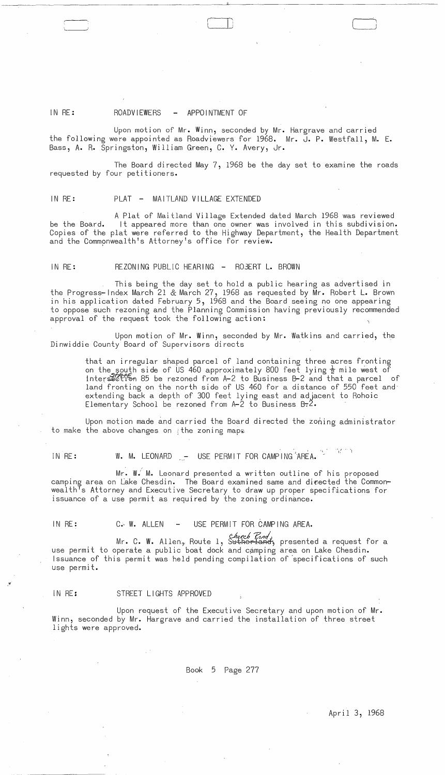# IN RE: ROADVIEWERS - APPOINTMENT OF

Upon motion of Mr. Winn, seconded by Mr. Hargrave and carried the following were appointed as Roadviewers for 1968. Mr. J. P. Westfall, M. E. Bass, A. R. Springston, William Green, C. Y. Avery, Jr.

The Board directed May  $7,1968$  be the day set to examine the roads requested by four petitioners.

## IN RE: PLAT - MAITLAND VILLAGE EXTENDED

A Plat of Maitland Village Extended dated March 1968 was reviewed be the Board. It appeared more than one owner was involved in this subdivision. Copies of the plat were referred to the Highway Department, the Health Department and the Commonwealth's Attorney's office for review.

# IN RE: REZONING PUBLIC HEARING - R03ERT L. BROWN

This being the day set to hold a public hearing as advertised in the Progress-Index March 21 & March 27, 1968 as requested by Mr. Robert L. Brown in his application dated February 5, 1968 and the Board seeing no one appearing to oppose such rezoning and the Planning Commission having previously recommended approval of the request took the following action:

Upon motion of Mr. Winn, seconded by Mr. Watkins and carried, the Dinwiddie County Board of Supervisors directs

> that an irregular shaped parcel of land containing three acres fronting on the south side of US 460 approximately 800 feet lying  $\frac{1}{2}$  mile west of intersection 85 be rezoned from A-2 to Business B-2 and that a parcel of land fronting on the north side of US 460 for a distance of 550 feet and extending back a depth of 300 feet lying east and adjacent to Rohoic Elementary School be rezoned from  $A-2$  to Business  $B=2$ .

Upon motion made and carried the Board directed the zoning administrator to make the above changes on  $\ddot{\varepsilon}$  the zoning maps

IN RE: W. M. LEONARD - USE PERMIT FOR CAMPING AREA.  $\mathcal{N} \subset \mathcal{N}$ 

Mr. W: M. Leonard presented a written outline of his proposed camping area on Lake Chesdin. The Board examined same and directed the Commonwealth<sup>T</sup>s Attorney and Executive Secretary to draw up proper specifications for issuance of a use permit as required by the zoning ordinance.

# IN RE: C. W. ALLEN - USE PERMIT FOR CAMPING AREA.

Mr. C. W. Allen<sub>s</sub> Route 1, S<del>utherland</del>, presented a request for a use permit to operate a public boat dock and camping area on Lake Chesdin. Issuance of this permit was held pending compilation of 'specifications of such use permit.

### IN RE: STREET LIGHTS APPROVED

 $\chi^{\rm eff}$ 

Upon request of the Executive Secretary and upon motion of Mr. Winn, seconded by Mr. Hargrave and carried the installation of three street lights were approved.

Book 5 Page 277

April 3, 1968